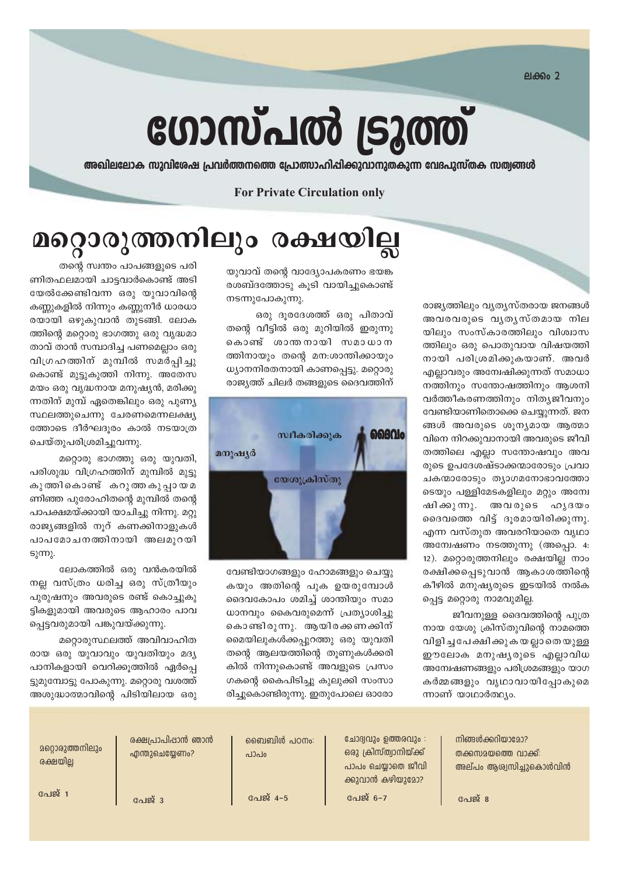ലക്കം 2

രാജ്യത്തിലും വ്യത്യസ്തരായ ജനങ്ങൾ

അവരവരുടെ വൃതൃസ്തമായ നില

യിലും സംസ്കാരത്തിലും വിശ്വാസ

ത്തിലും ഒരു പൊതുവായ വിഷയത്തി

നായി പരിശ്രമിക്കുകയാണ്. അവർ

എല്ലാവരും അന്വേഷിക്കുന്നത് സമാധാ

നത്തിനും സന്തോഷത്തിനും ആശനി

വർത്തീകരണത്തിനും നിത്യജീവനും

വേണ്ടിയാണിതൊക്കെ ചെയ്യുന്നത്. ജന

ങ്ങൾ അവരുടെ ശുന്യമായ ആത്മാ

വിനെ നിറക്കുവാനായി അവരുടെ ജീവി

തത്തിലെ എല്ലാ സന്തോഷവും അവ

രുടെ ഉപദേശഷ്ടാക്കന്മാരോടും പ്രവാ

ചകന്മാരോടും തൃാഗമനോഭാവത്തോ

ടെയും പള്ളിമേടകളിലും മറ്റും അന്വേ

ദൈവത്തെ വിട്ട് ദൂരമായിരിക്കുന്നു.

എന്ന വസ്തുത അവരറിയാതെ വൃഥാ

അമ്പേഷണം നടത്തുന്നു (അപ്പൊ. 4:

12). മറ്റൊരുത്തനിലും രക്ഷയില്ല നാം

രക്ഷിക്കപ്പെടുവാൻ ആകാശത്തിന്റെ

കീഴിൽ മനുഷ്യരുടെ ഇടയിൽ നൽക

നായ യേശു ക്രിസ്തുവിന്റെ നാമത്തെ

വിളിച്ച പേക്ഷിക്കുകയല്ലാതെയുള്ള

ഈലോക മനുഷ്യരുടെ എല്ലാവിധ

അന്വേഷണങ്ങളും പരിശ്രമങ്ങളും യാഗ

കർമ്മങ്ങളും വൃഥാവായിപ്പോകുമെ

ജീവനുള്ള ദൈവത്തിന്റെ പുത്ര

പ്പെട്ട മറ്റൊരു നാമവുമില്ല.

അവരുടെ ഹൃദയം

ഷി ക്കു ന്നു.

# ഗോസ്പൽ ട്രൂത്ത്

അഖിലലോക സുവിശേഷ പ്രവർത്തനത്തെ പ്രോത്സാഹിപ്പിക്കുവാനുതകുന്ന വേദപുസ്തക സത്വങ്ങൾ

#### **For Private Circulation only**

# മറ്റൊരുത്തനിലും രക്ഷയില്ല

യുവാവ് തന്റെ വാദ്യോപകരണം ഭയങ്ക രശബ്ദത്തോടു കുടി വായിച്ചുകൊണ്ട് നടന്നുപോകുന്നു.

ഒരു ദുരദേശത്ത് ഒരു പിതാവ് തന്റെ വീട്ടിൽ ഒരു മുറിയിൽ ഇരുന്നു കൊണ്ട് ശാന്തനായി സമാധാന ത്തിനായും തന്റെ മന:ശാന്തിക്കായും ധ്യാനനിരതനായി കാണപ്പെട്ടു. മറ്റൊരു രാജ്യത്ത് ചിലർ തങ്ങളുടെ ദൈവത്തിന്



വേണ്ടിയാഗങ്ങളും ഹോമങ്ങളും ചെയ്യു കയും അതിന്റെ പുക ഉയരുമ്പോൾ ദൈവകോപം ശമിച്ച് ശാന്തിയും സമാ ധാനവും കൈവരുമെന്ന് പ്രത്യാശിച്ചു കൊണ്ടിരുന്നു. ആയിരക്കണക്കിന് മൈയിലുകൾക്കപ്പുറത്തു ഒരു യുവതി തന്റെ ആലയത്തിന്റെ തുണുകൾക്കരി കിൽ നിന്നുകൊണ്ട് അവളുടെ പ്രസം ഗകന്റെ കൈപിടിച്ചു കുലുക്കി സംസാ രിച്ചുകൊണ്ടിരുന്നു. ഇതുപോലെ ഓരോ

തന്റെ സ്വന്തം പാപങ്ങളുടെ പരി ണിതഫലമായി ചാട്ടവാർകൊണ്ട് അടി യേൽക്കേണ്ടിവന്ന ഒരു യുവാവിന്റെ കണ്ണുകളിൽ നിന്നും കണ്ണുനീർ ധാരധാ രയായി ഒഴുകുവാൻ തുടങ്ങി. ലോക ത്തിന്റെ മറ്റൊരു ഭാഗത്തു ഒരു വൃദ്ധമാ താവ് താൻ സമ്പാദിച്ച പണമെല്ലാം ഒരു വിഗ്രഹത്തിന് മുമ്പിൽ സമർപ്പിച്ചു കൊണ്ട് മുട്ടുകുത്തി നിന്നു. അതേസ മയം ഒരു വൃദ്ധനായ മനുഷ്യൻ, മരിക്കു ന്നതിന് മുമ്പ് ഏതെങ്കിലും ഒരു പുണ്യ സ്ഥലത്തുചെന്നു ചേരണമെന്നലക്ഷ്യ ത്തോടെ ദീർഘദൂരം കാൽ നടയാത്ര ചെയ്തുപരിശ്രമിച്ചുവന്നു.

മറ്റൊരു ഭാഗത്തു ഒരു യുവതി, പരിശുദ്ധ വിഗ്രഹത്തിന് മുമ്പിൽ മുട്ടു കുത്തികൊണ്ട് കറുത്തകുപ്പായ മ ണിഞ്ഞ പുരോഹിതന്റെ മുമ്പിൽ തന്റെ പാപക്ഷമയ്ക്കായി യാചിച്ചു നിന്നു. മറ്റു രാജ്യങ്ങളിൽ നൂറ് കണക്കിനാളുകൾ പാപമോചനത്തിനായി അലമുറയി  $S_λ$  (m).

ലോകത്തിൽ ഒരു വൻകരയിൽ നല്ല വസ്ത്രം ധരിച്ച ഒരു സ്ത്രീയും പുരുഷനും അവരുടെ രണ്ട് കൊച്ചുകു ട്ടികളുമായി അവരുടെ ആഹാരം പാവ പ്പെട്ടവരുമായി പങ്കുവയ്ക്കുന്നു.

മറ്റൊരുസ്ഥലത്ത് അവിവാഹിത രായ ഒരു യുവാവും യുവതിയും മദ്യ പാനികളായി വെറിക്കുത്തിൽ ഏർപ്പെ ട്ടുമുമ്പോട്ടു പോകുന്നു. മറ്റൊരു വശത്ത് അശുദ്ധാത്മാവിന്റെ പിടിയിലായ ഒരു

> നിങ്ങൾക്കറിയാമോ? തക്കസമയത്തെ വാക്ക്: അല്പം ആശ്വസിച്ചുകൊൾവിൻ

പേജ് 8

ന്നാണ് യാഥാർത്ഥ്യം.

ചോദ്വവും ഉത്തരവും :

ഒരു ക്രിസ്ത്വാനിയ്ക്ക്

പാപം ചെയ്യാതെ ജീവി

ക്കുവാൻ കഴിയുമോ?

പേജ് 6-7

ബൈബിൾ പഠനം:  $0.120h$ 

പേജ് 4-5

രക്ഷപ്രാപിഷാൻ ഞാൻ എന്തുചെയ്യേണം?

പേജ് 3

**200202000** നിലും രക്ഷയില്ല

പേജ് 1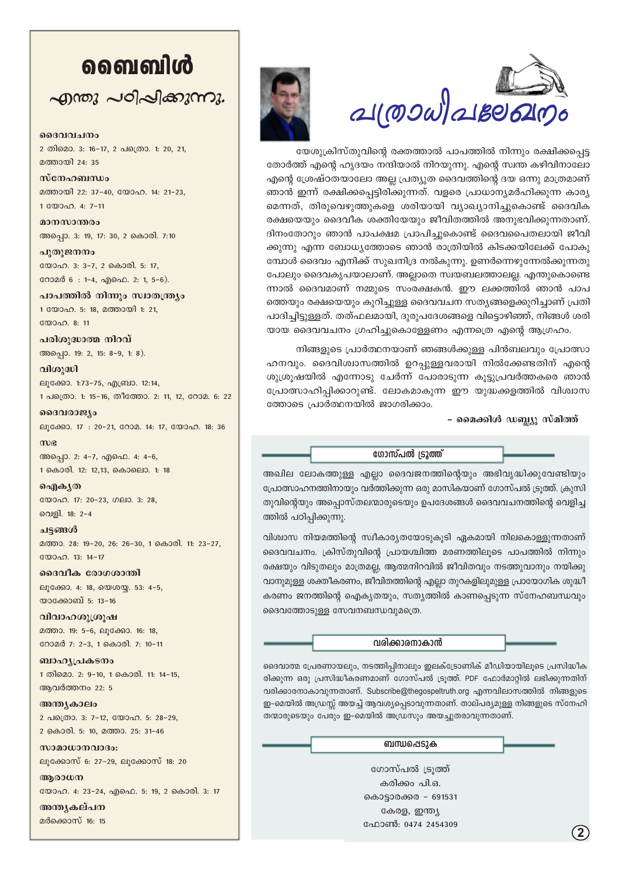# வைவிൾ

 $\sim$ ฏ พญ  $\sim$ อาลาสาขาวา

ദൈവവചനം

2 തിമൊ. 3: 16-17, 2 പത്രൊ. 1: 20, 21, മത്തായി 24: 35

സ്നേഹബന്ധം മത്തായി 22: 37-40, യോഹ. 14: 21-23, 1. $\mathbb{R}^{(0)}$ 

മാനസാന്തരം അപ്പൊ. 3: 19, 17: 30, 2 കൊരി. 7:10

പുതുജനനം യോഹ. 3: 3-7, 2 കൊരി. 5: 17, റോമർ 6: 1-4, എഫെ. 2: 1, 5-6).

പാപത്തിൽ നിന്നും സ്വാതന്ത്ര്യം 1 യോഹ. 5: 18, മത്തായി 1: 21, യോഹ. 8: 11

പരിശുദ്ധാത്മ നിറവ് അപ്പൊ. 19: 2, 15: 8-9, 1: 8).

വിശുദ്ധി ല്വക്കോ. 1:73-75, എബ്രാ. 12:14, 1 പത്രൊ. 1: 15-16, തീത്തോ. 2: 11, 12, റോമ. 6: 22

ദൈവരാജ്യം ലൂക്കോ. 17: 20-21, റോമ. 14: 17, യോഹ. 18: 36

 $m$ ) $\alpha$ അപ്പൊ. 2: 4-7, എഫെ. 4: 4-6, 1 കൊരി. 12: 12,13, കൊലൊ. 1: 18

வெளிக் (ல യോഹ. 17: 20-23, ഗലാ. 3: 28, വെളി. 18: 2-4

ചട്ടങ്ങൾ മത്താ. 28: 19-20, 26: 26-30, 1 കൊരി. 11: 23-27, യോഹ. 13: 14-17

ദൈവീക രോഗശാന്തി ലൂക്കോ. 4: 18, യെശയ്യ. 53: 4-5, യാക്കോബ് 5: 13-16

വിവാഹശുശ്രൂഷ മത്താ. 19: 5-6, ലുക്കോ. 16: 18, റോമർ 7: 2-3, 1 കൊരി. 7: 10-11

ബാഹൃപ്രകടനം 1 തിമൊ. 2: 9-10, 1 കൊരി. 11: 14-15, ആവർത്തനം 22: 5

അന്ത്യകാലം 2 പത്രൊ. 3: 7-12, യോഹ. 5: 28-29, 2 കൊരി. 5: 10, മത്താ. 25: 31-46

സാമാധാനവാദം: ലൂക്കോസ് 6: 27-29, ലൂക്കോസ് 18: 20

അരാധന യോഹ. 4: 23-24, എഫെ. 5: 19, 2 കൊരി. 3: 17

അന്തൃകല്പന മർക്കൊസ് 16: 15





യേശുക്രിസ്തുവിന്റെ രക്തത്താൽ പാപത്തിൽ നിന്നും രക്ഷിക്കപ്പെട്ട തോർത്ത് എന്റെ ഹൃദയം നന്ദിയാൽ നിറയുന്നു. എന്റെ സ്വന്ത കഴിവിനാലോ എന്റെ ശ്രേഷ്ഠതയാലോ അല്ല പ്രത്യുത ദൈവത്തിന്റെ ദയ ഒന്നു മാത്രമാണ് ഞാൻ ഇന്ന് രക്ഷിക്കപ്പെട്ടിരിക്കുന്നത്. വളരെ പ്രാധാന്യമർഹിക്കുന്ന കാര്യ മെന്നത്, തിരുവെഴുത്തുകളെ ശരിയായി വ്യാഖ്യാനിച്ചുകൊണ്ട് ദൈവിക രക്ഷയെയും ദൈവീക ശക്തിയേയും ജീവിതത്തിൽ അനുഭവിക്കുന്നതാണ്. ദിനംതോറും ഞാൻ പാപക്ഷമ പ്രാപിച്ചുകൊണ്ട് ദൈവപൈതലായി ജീവി ക്കുന്നു എന്ന ബോധ്യത്തോടെ ഞാൻ രാത്രിയിൽ കിടക്കയിലേക്ക് പോകു മ്പോൾ ദൈവം എനിക്ക് സുഖനിദ്ര നൽകുന്നു. ഉണർന്നെഴുന്നേൽക്കുന്നതു പോലും ദൈവകൃപയാലാണ്. അല്ലാതെ സ്വയബലത്താലല്ല. എന്തുകൊണ്ടെ ന്നാൽ ദൈവമാണ് നമ്മുടെ സംരക്ഷകൻ. ഈ ലക്കത്തിൽ ഞാൻ പാപ ത്തെയും രക്ഷയെയും കുറിച്ചുള്ള ദൈവവചന സത്യങ്ങളെക്കുറിച്ചാണ് പ്രതി പാദിച്ചിട്ടുള്ളത്. തത്ഫലമായി, ദുരുപദേശങ്ങളെ വിട്ടൊഴിഞ്ഞ്, നിങ്ങൾ ശരി യായ ദൈവവചനം ഗ്രഹിച്ചുകൊള്ളേണം എന്നത്രെ എന്റെ ആഗ്രഹം.

നിങ്ങളുടെ പ്രാർത്ഥനയാണ് ഞങ്ങൾക്കുള്ള പിൻബലവും പ്രോത്സാ ഹനവും. ദൈവിശ്വാസത്തിൽ ഉറപ്പുള്ളവരായി നിൽക്കേണ്ടതിന് എന്റെ ശുശ്രൂഷയിൽ എന്നോടു ചേർന്ന് പോരാടുന്ന കൂട്ടുപ്രവർത്തകരെ ഞാൻ പ്രോത്സാഹിപ്പിക്കാറുണ്ട്. ലോകമാകുന്ന ഈ യുദ്ധക്കളത്തിൽ വിശ്വാസ ത്തോടെ പ്രാർത്ഥനയിൽ ജാഗരിക്കാം.

- മൈക്കിൾ ഡബ്ല്യൂ സ്മിത്ത്

ഗോസ്പൽ ട്രൂത്ത്

അഖില ലോകത്തുള്ള എല്ലാ ദൈവജനത്തിന്റെയും അഭിവൃദ്ധിക്കുവേണ്ടിയും പ്രോത്സാഹനത്തിനായും വർത്തിക്കുന്ന ഒരു മാസികയാണ് ഗോസ്പൽ ട്രൂത്ത്. ക്രുസി തുവിന്റെയും അപ്പൊസ്തലന്മാരുടെയും ഉപദേശങ്ങൾ ദൈവവചനത്തിന്റെ വെളിച്ച ത്തിൽ പഠിപ്പിക്കുന്നു.

വിശ്വാസ നിയമത്തിന്റെ സ്വീകാര്യതയോടുകൂടി ഏകമായി നിലകൊള്ളുന്നതാണ് ദൈവവചനം. ക്രിസ്തുവിന്റെ പ്രായശ്ചിത്ത മരണത്തിലൂടെ പാപത്തിൽ നിന്നും രക്ഷയും വിടുതലും മാത്രമല്ല, ആത്മനിറവിൽ ജീവിതവും നടത്തുവാനും നയിക്കു വാനുമുള്ള ശക്തീകരണം, ജീവിതത്തിന്റെ എല്ലാ തുറകളിലുമുള്ള പ്രായോഗിക ശുദ്ധീ കരണം ജനത്തിന്റെ ഐക്യതയും, സത്യത്തിൽ കാണപ്പെടുന്ന സ്നേഹബന്ധവും ദൈവത്തോടുള്ള സേവനബന്ധവുമത്രെ.

വരിക്കാരനാകാൻ

ദൈവാത്മ പ്രേരണായലും, നടത്തിപ്പിനാലും ഇലക്ട്രോണിക് മീഡിയായിലൂടെ പ്രസിദ്ധീക രിക്കുന്ന ഒരു പ്രസിദ്ധീകരണമാണ് ഗോസ്പൽ ട്രൂത്ത്. PDF ഫോർമാറ്റിൽ ലഭിക്കുന്നതിന് വരിക്കാരനാകാവുന്നതാണ്. Subscribe@thegospeltruth.org എന്നവിലാസത്തിൽ നിങ്ങളുടെ ഇ-മെയിൽ അഡ്രസ്സ് അയച്ച് ആവശ്യപ്പെടാവുന്നതാണ്. താല്പര്യമുള്ള നിങ്ങളുടെ സ്നേഹി തന്മാരുടെയും പേരും ഇ-മെയിൽ അഡ്രസും അയച്ചുതരാവുന്നതാണ്.

ബന്ധപ്പെടുക

ഗോസ്പൽ ട്രാത്ത് കരിക്കം പി.ഒ. കൊട്ടാരക്കര - 691531 കേരള, ഇന്ത്യ ഫോൺ: 0474 2454309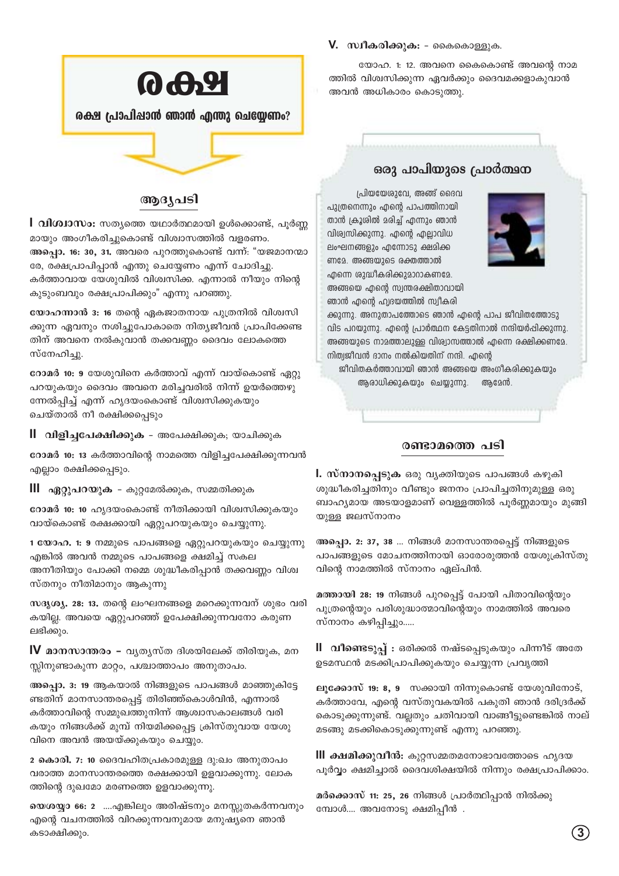

#### ആദ്യപടി

l വിശ്വാസം: സത്യത്തെ യഥാർത്ഥമായി ഉൾക്കൊണ്ട്, പൂർണ്ണ മായും അംഗീകരിച്ചുകൊണ്ട് വിശ്വാസത്തിൽ വളരണം. അപ്പൊ. 16: 30, 31. അവരെ പുറത്തുകൊണ്ട് വന്ന്: "യജമാനന്മാ രേ, രക്ഷപ്രാപിപ്പാൻ എന്തു ചെയ്യേണം എന്ന് ചോദിച്ചു. കർത്താവായ യേശുവിൽ വിശ്വസിക്ക. എന്നാൽ നീയും നിന്റെ കുടുംബവും രക്ഷപ്രാപിക്കും" എന്നു പറഞ്ഞു.

യോഹന്നാൻ 3: 16 തന്റെ ഏകജാതനായ പുത്രനിൽ വിശ്വസി ക്കുന്ന ഏവനും നശിച്ചുപോകാതെ നിത്യജീവൻ പ്രാപിക്കേണ്ട തിന് അവനെ നൽകുവാൻ തക്കവണ്ണം ദൈവം ലോകത്തെ സ്നേഹിച്ചു.

റോമർ 10: 9 യേശുവിനെ കർത്താവ് എന്ന് വായ്കൊണ്ട് ഏറ്റു പറയുകയും ദൈവം അവനെ മരിച്ചവരിൽ നിന്ന് ഉയർത്തെഴു ന്നേൽപ്പിച്ച് എന്ന് ഹൃദയംകൊണ്ട് വിശ്വസിക്കുകയും ചെയ്താൽ നീ രക്ഷിക്കപ്പെടും

ll വിളിച്ചപേക്ഷിക്കുക - അപേക്ഷിക്കുക; യാചിക്കുക

റോമർ 10: 13 കർത്താവിന്റെ നാമത്തെ വിളിച്ചപേക്ഷിക്കുന്നവൻ എല്ലാം രക്ഷിക്കപ്പെടും.

**III ഏറ്റുപറയുക** - കുറ്റമേൽക്കുക, സമ്മതിക്കുക

റോമർ 10: 10 ഹൃദയംകൊണ്ട് നീതിക്കായി വിശ്വസിക്കുകയും വായ്കൊണ്ട് രക്ഷക്കായി ഏറ്റുപറയുകയും ചെയ്യുന്നു.

1 യോഹ. 1: 9 നമ്മുടെ പാപങ്ങളെ ഏറ്റുപറയുകയും ചെയ്യുന്നു എങ്കിൽ അവൻ നമ്മുടെ പാപങ്ങളെ ക്ഷമിച്ച് സകല അനീതിയും പോക്കി നമ്മെ ശുദ്ധീകരിപ്പാൻ തക്കവണ്ണം വിശ്വ സ്തനും നീതിമാനും ആകുന്നു

സദൃശ്യ. 28: 13. തന്റെ ലംഘനങ്ങളെ മറെക്കുന്നവന് ശുഭം വരി കയില്ല. അവയെ ഏറ്റുപറഞ്ഞ് ഉപേക്ഷിക്കുന്നവനോ കരുണ ലഭിക്കും.

 $\bf{V}$  മാനസാന്തരം – വ്യത്യസ്ത ദിശയിലേക്ക് തിരിയുക, മന സ്സിനുണ്ടാകുന്ന മാറ്റം, പശ്ചാത്താപം അനുതാപം.

അപ്പൊ. 3: 19 ആകയാൽ നിങ്ങളുടെ പാപങ്ങൾ മാഞ്ഞുകിട്ടേ ണ്ടതിന് മാനസാന്തരപ്പെട്ട് തിരിഞ്ഞ്കൊൾവിൻ, എന്നാൽ കർത്താവിന്റെ സമ്മുഖത്തുനിന്ന് ആശ്വാസകാലങ്ങൾ വരി കയും നിങ്ങൾക്ക് മുമ്പ് നിയമിക്കപ്പെട്ട ക്രിസ്തുവായ യേശു വിനെ അവൻ അയയ്ക്കുകയും ചെയ്യും.

2 കൊരി. 7: 10 ദൈവഹിതപ്രകാരമുള്ള ദു:ഖം അനുതാപം വരാത്ത മാനസാന്തരത്തെ രക്ഷക്കായി ഉളവാക്കുന്നു. ലോക ത്തിന്റെ ദുഖമോ മരണത്തെ ഉളവാക്കുന്നു.

യെശയ്യാ 66: 2 ....എങ്കിലും അരിഷ്ടനും മനസ്സുതകർന്നവനും എന്റെ വചനത്തിൽ വിറക്കുന്നവനുമായ മനുഷ്യനെ ഞാൻ കടാക്ഷിക്കും.

#### V. സ്വീകരിക്കുക: - കൈകൊള്ളുക.

യോഹ. 1: 12. അവനെ കൈകൊണ്ട് അവന്റെ നാമ ത്തിൽ വിശ്വസിക്കുന്ന ഏവർക്കും ദൈവമക്കളാകുവാൻ അവൻ അധികാരം കൊടുത്തു.

#### ഒരു പാപിയുടെ പ്രാർത്ഥന

പ്രിയയേശുവേ, അങ്ങ് ദൈവ പുത്രനെന്നും എന്റെ പാപത്തിനായി താൻ ക്രൂശിൽ മരിച്ച് എന്നും ഞാൻ വിശ്വസിക്കുന്നു. എന്റെ എല്ലാവിധ ലംഘനങ്ങളും എന്നോടു ക്ഷമിക്ക ണമേ. അങ്ങയുടെ രക്തത്താൽ എന്നെ ശുദ്ധീകരിക്കുമാറാകണമേ. അങ്ങയെ എന്റെ സ്വന്തരക്ഷിതാവായി ഞാൻ എന്റെ ഹ്വദയത്തിൽ സ്വീകരി



ക്കുന്നു. അനുതാപത്തോടെ ഞാൻ എന്റെ പാപ ജീവിതത്തോടു വിട പറയുന്നു. എന്റെ പ്രാർത്ഥന കേട്ടതിനാൽ നന്ദിയർപ്പിക്കുന്നു. അങ്ങയുടെ നാമത്താലുള്ള വിശ്വാസത്താൽ എന്നെ രക്ഷിക്കണമേ. നിത്വജീവൻ ദാനം നൽകിയതിന് നന്ദി. എന്റെ

ജീവിതകർത്താവായി ഞാൻ അങ്ങയെ അംഗീകരിക്കുകയും അരാധിക്കുകയും ചെയുന്നു. അമേൻ.

#### രണ്ടാമത്തെ പടി

**l. സ്നാനപെടുക** ഒരു വൃക്തിയുടെ പാപങ്ങൾ കഴുകി ശുദ്ധീകരിച്ചതിനും വീണ്ടും ജനനം പ്രാപിച്ചതിനുമുള്ള ഒരു ബാഹ്യമായ അടയാളമാണ് വെള്ളത്തിൽ പൂർണ്ണമായും മുങ്ങി യുള്ള ജലസ്നാനം

അപ്പൊ. 2: 37, 38 ... നിങ്ങൾ മാനസാന്തരപെട്ട് നിങ്ങളുടെ പാപങ്ങളുടെ മോചനത്തിനായി ഓരോരുത്തൻ യേശുക്രിസ്തു വിന്റെ നാമത്തിൽ സ്നാനം ഏല്പിൻ.

മത്തായി 28: 19 നിങ്ങൾ പുറപ്പെട്ട് പോയി പിതാവിന്റെയും പുത്രന്റെയും പരിശുദ്ധാത്മാവിന്റെയും നാമത്തിൽ അവരെ സ്നാനം കഴിപ്പിച്ചും.....

ll വീണ്ടെടുപ്പ് : ഒരിക്കൽ നഷ്ടപ്പെടുകയും പിന്നീട് അതേ ഉടമസ്ഥൻ മടക്കിപ്രാപിക്കുകയും ചെയ്യുന്ന പ്രവൃത്തി

ലൂക്കോസ് 19: 8, 9 സക്കായി നിന്നുകൊണ്ട് യേശുവിനോട്, കർത്താവേ, എന്റെ വസ്തുവകയിൽ പകുതി ഞാൻ ദരിദ്രർക്ക് കൊടുക്കുന്നുണ്ട്. വല്ലതും ചതിവായി വാങ്ങീട്ടുണ്ടെങ്കിൽ നാല് മടങ്ങു മടക്കികൊടുക്കുന്നുണ്ട് എന്നു പറഞ്ഞു.

III ക്ഷമിക്കുവീൻ: കുറ്റസമ്മതമനോഭാവത്തോടെ ഹൃദയ പൂർവ്വം ക്ഷമിച്ചാൽ ദൈവശിക്ഷയിൽ നിന്നും രക്ഷപ്രാപിക്കാം.

മർക്കൊസ് 11: 25, 26 നിങ്ങൾ പ്രാർത്ഥിപ്പാൻ നിൽക്കു മ്പോൾ.... അവനോടു ക്ഷമിപ്പീൻ .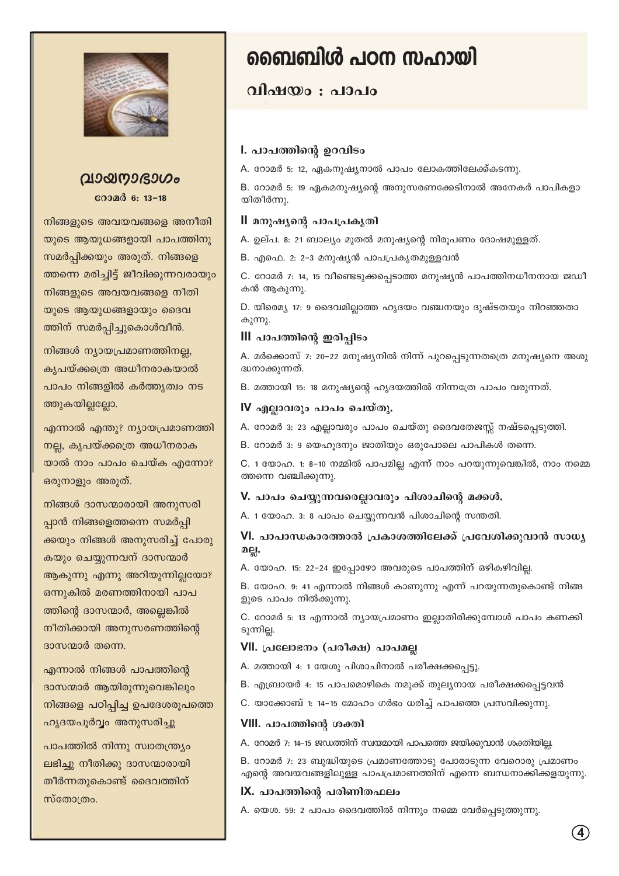

### **hmb-\m-`mKw**

**coond** 6: 13-18

നിങ്ങളുടെ അവയവങ്ങളെ അനീതി യുടെ ആയുധങ്ങളായി പാപത്തിനു സമർപ്പിക്കയും അരുത്. നിങ്ങളെ ത്തന്നെ മരിച്ചിട്ട് ജീവിക്കുന്നവരായും നിങ്ങളുടെ അവയവങ്ങളെ നീതി യുടെ ആയുധങ്ങളായും ദൈവ ത്തിന് സമർപ്പിച്ചുകൊൾവീൻ.

നിങ്ങൾ ന്യായപ്രമാണത്തിനല്ല, കൃപയ്ക്കത്രെ അധീനരാകയാൽ പാപം നിങ്ങളിൽ കർത്തൃത്വം നട ത്തുകയില്ലല്ലോ.

എന്നാൽ എന്തു? നൃായപ്രമാണത്തി നല്ല, കൃപയ്ക്ക**്രെ** അധീനരാക യാൽ നാം പാപം ചെയ്ക എന്നോ? ഒരുനാളും അരുത്.

നിങ്ങൾ ദാസന്മാരായി അനുസരി പ്പാൻ നിങ്ങളെത്തന്നെ സമർപ്പി ക്കയും നിങ്ങൾ അനുസരിച്ച് പോരു കയും ചെയ്യുന്നവന് ദാസന്മാർ ആകുന്നു എന്നു അറിയുന്നില്ലയോ? ഒന്നുകിൽ മരണത്തിനായി പാപ ത്തിന്റെ ദാസന്മാർ, അല്ലെങ്കിൽ നീതിക്കായി അനുസരണത്തിന്റെ  $\alpha$ ദാസന്മാർ തന്നെ.

എന്നാൽ നിങ്ങൾ പാപത്തിന്റെ ദാസന്മാർ ആയിരുന്നുവെങ്കിലും നിങ്ങളെ പഠിപ്പിച്ച ഉപദേശരൂപത്തെ ഹൃദയപൂർവ്വം അനുസരിച്ചു

പാപത്തിൽ നിന്നു സ്വാതന്ത്ര്യം eis ചു നീതിക്കു ദാസന്മാരായി തീർന്നതുകൊണ്ട് ദൈവത്തിന്  $m$ ബോത്രം.

## **ബൈബിൾ പഠന സഹായി**

#### **hnjbw** : alcomo

#### l. പാപത്തിന്റെ ഉറവിടം

A. റോമർ 5: 12, ഏകനുഷൃനാൽ പാപം ലോകത്തിലേക്ക്കടന്നു.

B. റോമർ 5: 19 ഏകമനുഷ്യന്റെ അനുസരണക്കേടിനാൽ അനേകർ പാപികളാ യിതീർന്നു.

#### II മനുഷ്യന്റെ പാപപ്രകൃതി

A. ഉല്പ. 8: 21 ബാല്യം മുതൽ മനുഷ്യന്റെ നിരൂപണം ദോഷമുള്ളത്.

B. എഫെ. 2: 2-3 മനുഷൃൻ പാപപ്രകൃതമുള്ളവൻ

C. റോമർ 7: 14, 15 വീണ്ടെടുക്കപ്പെടാത്ത മനുഷ്യൻ പാപത്തിനധീനനായ ജഡീ കൻ ആകുന്നു.

D. യിരെമ്യ 17: 9 ദൈവമില്ലാത്ത ഹൃദയം വഞ്ചനയും ദുഷ്ടതയും നിറഞ്ഞതാ കുന്നു.

#### **III** പാപത്തിന്റെ ഇരിപ്പിടം

A. മർക്കൊസ് 7: 20−22 മനുഷൃനിൽ നിന്ന് പുറപ്പെടുന്നതത്രെ മനുഷൃനെ അശു ദ്ധനാക്കുന്നത്.

B. മത്തായി 15: 18 മനുഷ്യന്റെ ഹൃദയത്തിൽ നിന്നത്രേ പാപം വരുന്നത്.

#### **IV എല്ലാവരും പാപം ചെയ്തു.**

A. റോമർ 3: 23 എല്ലാവരും പാപം ചെയ്തു ദൈവതേജസ്സ് നഷ്ടപ്പെടുത്തി.

B. റോമർ  $3: 9$  യെഹൂദനും ജാതിയും ഒരുപോലെ പാപികൾ തന്നെ.

C. 1 യോഹ. 1: 8-10 നമ്മിൽ പാപമില്ല എന്ന് നാം പറയുന്നുവെങ്കിൽ, നാം നമ്മെ ത്തന്നെ വഞ്ചിക്കുന്നു.

#### V. പാപം ചെയ്യുന്നവരെല്ലാവരും പിശാചിന്റെ മക്കൾ.

A. 1 യോഹ. 3: 8 പാപം ചെയ്യുന്നവൻ പിശാചിന്റെ സന്തതി.

#### VI. പാപാന്ധകാരത്താൽ പ്രകാശത്തിലേക്ക് പ്രവേശിക്കുവാൻ സാധ്യ **a**eı.

A. യോഹ. 15: 22-24 ഇപ്പോഴോ അവരുടെ പാപത്തിന് ഒഴികഴിവില്ല.

B. യോഹ. 9: 41 എന്നാൽ നിങ്ങൾ കാണുന്നു എന്ന് പറയുന്നതുകൊണ്ട് നിങ്ങ ളുടെ പാപം നിൽക്കുന്നു.

C. റോമർ 5: 13 എന്നാൽ ന്യായപ്രമാണം ഇല്ലാതിരിക്കുമ്പോൾ പാപം കണക്കി ടുന്നില്ല.

#### VII. പ്രലോഭനം (പരീക്ഷ) പാപമല്ല

A. മത്തായി 4: 1 യേശു പിശാചിനാൽ പരീക്ഷക്കപ്പെട്ടു.

B. എബ്രായർ 4: 15 പാപമൊഴികെ നമുക്ക് തുലൃനായ പരീക്ഷക്കപ്പെട്ടവൻ

C. യാക്കോബ് 1: 14-15 മോഹം ഗർഭം ധരിച്ച് പാപത്തെ പ്രസവിക്കുന്നു.

#### **VIII.** പാപത്തിന്റെ ശക്തി

A. റോമർ 7: 14-15 ജഡത്തിന് സ്വയമായി പാപത്തെ ജയിക്കുവാൻ ശക്തിയില്ല.

B. റോമർ 7: 23 ബുദ്ധിയുടെ പ്രമാണത്തോടു പോരാടുന്ന വേറൊരു പ്രമാണം എന്റെ അവയവങ്ങളിലുള്ള പാപപ്രമാണത്തിന് എന്നെ ബന്ധനാക്കിക്കളയുന്നു.

#### **IX.** പാപത്തിന്റെ പരിണിതഫലം

A. യെശ. 59: 2 പാപം ദൈവത്തിൽ നിന്നും നമ്മെ വേർപ്പെടുത്തുന്നു.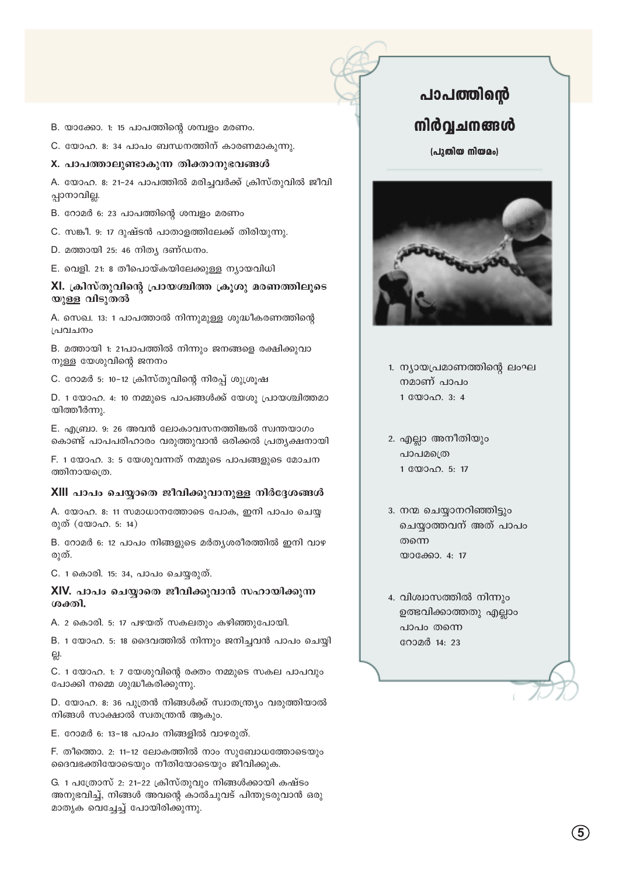- B. യാക്കോ. 1: 15 പാപത്തിന്റെ ശമ്പളം മരണം.
- C. യോഹ. 8: 34 പാപം ബന്ധനത്തിന് കാരണമാകുന്നു.

#### X. പാപത്താലുണ്ടാകുന്ന തിക്താനുഭവങ്ങൾ

A. യോഹ. 8: 21-24 പാപത്തിൽ മരിച്ചവർക്ക് ക്രിസ്തുവിൽ ജീവി ുപ്പാനാവില്ല.

- B. റോമർ 6: 23 പാപത്തിന്റെ ശമ്പളം മരണം
- C. സങ്കീ. 9: 17 ദുഷ്ടൻ പാതാളത്തിലേക്ക് തിരിയുന്നു.
- $D.$  മത്തായി 25: 46 നിത്യ ദണ്ഡനം.
- E. വെളി. 21: 8 തീപൊയ്കയിലേക്കുള്ള ന്യായവിധി

#### XI. ക്രിസ്തുവിന്റെ പ്രായശ്ചിത്ത ക്രൂശു മരണത്തിലൂടെ യുള്ള വിടുതൽ

A. സെഖ. 13: 1 പാപത്താൽ നിന്നുമുള്ള ശുദ്ധീകരണത്തിന്റെ  $[$ പവചനം

B. മത്തായി 1: 21പാപത്തിൽ നിന്നും ജനങ്ങളെ രക്ഷിക്കുവാ നുള്ള യേശുവിന്റെ ജനനം

C. റോമർ 5: 10−12 ക്രിസ്തുവിന്റെ നിരപ്പ് ശുശ്രൂഷ

 $D.$  1 യോഹ. 4: 10 നമ്മുടെ പാപങ്ങൾക്ക് യേശു പ്രായശ്ചിത്തമാ യിത്തീർന്നു.

E. എബ്രാ. 9: 26 അവൻ ലോകാവസനത്തിങ്കൽ സ്വന്തയാഗം കൊണ്ട് പാപപരിഹാരം വരുത്തുവാൻ ഒരിക്കൽ പ്രതൃക്ഷനായി

F. 1 യോഹ. 3: 5 യേശുവന്നത് നമ്മുടെ പാപങ്ങളുടെ മോചന ത്തിനായത്രെ.

#### XIII പാപം ചെയ്യാതെ ജീവിക്കുവാനുള്ള നിർദ്ദേശങ്ങൾ

 $A.$  യോഹ. 8: 11 സമാധാനത്തോടെ പോക, ഇനി പാപം ചെയ്യ രുത് (യോഹ. 5: 14)

 $B.$  റോമർ 6: 12 പാപം നിങ്ങളുടെ മർതൃശരീരത്തിൽ ഇനി വാഴ രുത്.

C. 1 കൊരി. 15: 34, പാപം ചെയ്യരുത്.

XIV. പാപം ചെയ്യാതെ ജീവിക്കുവാൻ സഹായിക്കുന്ന <u>ശക്തി.</u>

A. 2 കൊരി. 5: 17 പഴയത് സകലതും കഴിഞ്ഞുപോയി.

B. 1 യോഹ. 5: 18 ദൈവത്തിൽ നിന്നും ജനിച്ചവൻ പാപം ചെയ്യി √.

C. 1 യോഹ. 1: 7 യേശുവിന്റെ രക്തം നമ്മുടെ സകല പാപവും പോക്കി നമ്മെ ശുദ്ധീകരിക്കുന്നു.

D. യോഹ. 8: 36 പുത്രൻ നിങ്ങൾക്ക് സ്വാതന്ത്ര്യം വരുത്തിയാൽ നിങ്ങൾ സാക്ഷാൽ സ്വതന്ത്രൻ ആകും.

E. റോമർ 6: 13-18 പാപം നിങ്ങളിൽ വാഴരുത്.

F. തീത്തൊ. 2: 11-12 ലോകത്തിൽ നാം സുബോധത്തോടെയും ദൈവഭക്തിയോടെയും നീതിയോടെയും ജീവിക്കുക.

G. 1 പത്രോസ് 2: 21-22 ക്രിസ്തുവും നിങ്ങൾക്കായി കഷ്ടം അനുഭവിച്ച്, നിങ്ങൾ അവന്റെ കാൽചുവട് പിന്തുടരുവാൻ ഒരു മാതൃക വെച്ചേച്ച് പോയിരിക്കുന്നു.

### പാപത്തിന്റെ  $\mathbf m$ ർവ്വചനങ്ങൾ

(പുതിയ നിയമം)



1. ന്യായപ്രമാണത്തിന്റെ ലംഘ നമാണ് പാപം  $1$   $\mathbb{C}$  $\mathbb{D}$  $\Omega$ . 3: 4

2. എല്ലാ അനീതിയും പാപമത്രെ  $1$   $\mathbb{C}$  $\mathbb{D}$  $\Omega$ . 5: 17

3. നന്മ ചെയ്യാനറിഞ്ഞിട്ടും ചെയ്യാത്തവന് അത് പാപം തന്നെ യാക്കോ.  $4: 17$ 

4. വിശ്വാസത്തിൽ നിന്നും ഉത്ഭവിക്കാത്തതു എല്ലാം പാപം തന്നെ റോമർ 14: 23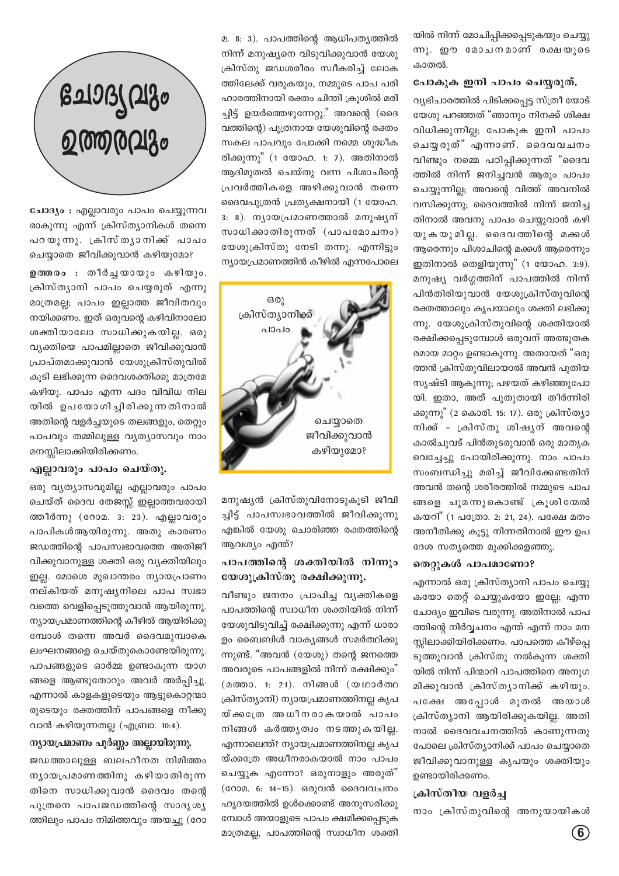യിൽ നിന്ന് മോചിപ്പിക്കപ്പെടുകയും ചെയ്യു ന്നു. ഈ മോചനമാണ് രക്ഷയുടെ കാതൽ.

#### പോകുക ഇനി പാപം ചെയ്യരുത്.

വ്യഭിചാരത്തിൽ പിടിക്കപ്പെട്ട സ്ത്രീ യോട് യേശു പറഞ്ഞത് "ഞാനും നിനക്ക് ശിക്ഷ വിധിക്കുന്നില്ല; പോകുക ഇനി പാപം ചെയ്യ രുത്" എന്നാണ്. ദൈവവചനം വീണ്ടും നമ്മെ പഠിപ്പിക്കുന്നത് "ദൈവ ത്തിൽ നിന്ന് ജനിച്ചവൻ ആരും പാപം ചെയ്യുന്നില്ല; അവന്റെ വിത്ത് അവനിൽ വസിക്കുന്നു; ദൈവത്തിൽ നിന്ന് ജനിച്ച തിനാൽ അവനു പാപം ചെയ്യുവാൻ കഴി യുകയുമില. ദൈവത്തിന്റെ മക്കൾ ആരെന്നും പിശാചിന്റെ മക്കൾ ആരെന്നും ഇതിനാൽ തെളിയുന്നു" (1 യോഹ. 3:9). മനുഷ്യ വർഗ്ഗത്തിന് പാപത്തിൽ നിന്ന് പിൻതിരിയുവാൻ യേശുക്രിസ്തുവിന്റെ രക്തത്താലും കൃപയാലും ശക്തി ലഭിക്കു ന്നു. യേശുക്രിസ്തുവിന്റെ ശക്തിയാൽ രക്ഷിക്കപ്പെടുമ്പോൾ ഒരുവന് അത്ഭുതക രമായ മാറ്റം ഉണ്ടാകുന്നു. അതായത് "ഒരു ത്തൻ ക്രിസ്തുവിലായാൽ അവൻ പുതിയ സൃഷ്ടി ആകുന്നു; പഴയത് കഴിഞ്ഞുപോ യി. ഇതാ, അത് പുതുതായി തീർന്നിരി ക്കുന്നു" (2 കൊരി. 15: 17). ഒരു ക്രിസ്ത്യാ നിക്ക് - ക്രിസ്തു ശിഷ്യന് അവന്റെ കാൽചുവട് പിൻതുടരുവാൻ ഒരു മാതൃക വെച്ചേച്ചു പോയിരിക്കുന്നു. നാം പാപം സംബന്ധിച്ചു മരിച്ച് ജീവിക്കേണ്ടതിന് അവൻ തന്റെ ശരീരത്തിൽ നമ്മുടെ പാപ ങ്ങളെ ചുമന്നുകൊണ്ട് ക്രൂശിന്മേൽ കയറി" (1 പത്രോ. 2: 21, 24). പക്ഷേ മതം അനീതിക്കു കൂട്ടു നിന്നതിനാൽ ഈ ഉപ ദേശ സത്യത്തെ മുക്കിക്കളഞ്ഞു.

#### $\mathfrak{O}(n)$ കൾ പാപമാണോ?

എന്നാൽ ഒരു ക്രിസ്ത്യാനി പാപം ചെയ്യു കയോ തെറ്റ് ചെയ്യുകയോ ഇല്ലേ; എന്ന ചോദ്യം ഇവിടെ വരുന്നു. അതിനാൽ പാപ ത്തിന്റെ നിർവ്വചനം എന്ത് എന്ന് നാം മന സ്സിലാക്കിയിരിക്കണം. പാപത്തെ കീഴ്പ്പെ ടുത്തുവാൻ ക്രിസ്തു നൽകുന്ന ശക്തി യിൽ നിന്ന് പിന്മാറി പാപത്തിനെ അനുഗ മിക്കുവാൻ ക്രിസ്തൃാനിക്ക് കഴിയും. പക്ഷേ അപ്പോൾ മുതൽ അയാൾ  $[$ കിസ്ത്യാനി ആയിരിക്കുകയില്ല. അതി നാൽ ദൈവവചനത്തിൽ കാണുന്നതു പോലെ ക്രിസ്ത്യാനിക്ക് പാപം ചെയ്യാതെ ജീവിക്കുവാനുള്ള കൃപയും ശക്തിയും ഉണ്ടായിരിക്കണം.

#### **{InkvXob hf¿®**

നാം ക്രിസ്തുവിന്റെ അനുയായികൾ

മ. 8: 3). പാപത്തിന്റെ ആധിപതൃത്തിൽ നിന്ന് മനുഷ്യനെ വിടുവിക്കുവാൻ യേശു ക്രിസ്തു ജഡശരീരം സ്വീകരിച്ച് ലോക ത്തിലേക്ക് വരുകയും, നമ്മുടെ പാപ പരി ഹാരത്തിനായി രക്തം ചിന്തി ക്രൂശിൽ മരി ച്ചിട്ട് ഉയർത്തെഴുന്നേറ്റു." അവന്റെ (ദൈ വത്തിന്റെ) പുത്രനായ യേശുവിന്റെ രക്തം സകല പാപവും പോക്കി നമ്മെ ശുദ്ധീക രിക്കുന്നു" (1 യോഹ. 1: 7). അതിനാൽ ആദിമുതൽ ചെയ്തു വന്ന പിശാചിന്റെ (പവർത്തികളെ അഴിക്കുവാൻ തന്നെ ദൈവപുത്രൻ പ്രതൃക്ഷനായി (1 യോഹ.  $3: 8$ ). നൃായപ്രമാണത്താൽ മനുഷൃന് സാധിക്കാതിരുന്നത് (പാപമോചനം) യേശുക്രിസ്തു നേടി തന്നു. എന്നിട്ടും  $\Omega$ ന്യായപ്രമാണത്തിൻ കീഴിൽ എന്നപോലെ



മനുഷ്യൻ ക്രിസ്തുവിനോടുകൂടി ജീവി ച്ചിട്ട് പാപസ്വഭാവത്തിൽ ജീവിക്കുന്നു എങ്കിൽ യേശു ചൊരിഞ്ഞ രക്തത്തിന്റെ ആവശ്യം എന്ത്?

#### പാപത്തിന്റെ ശക്തിയിൽ നിന്നും **യേശുക്രിസ്തു രക്ഷിക്കുന്നു.**

വീണ്ടും ജനനം പ്രാപിച്ച വൃക്തികളെ പാപത്തിന്റെ സ്വാധീന ശക്തിയിൽ നിന്ന് യേശുവിടുവിച്ച് രക്ഷിക്കുന്നു എന്ന് ധാരാ ളം ബൈബിൾ വാകൃങ്ങൾ സമർത്ഥിക്കു ന്നുണ്ട്. "അവൻ  $(\text{c} \omega \omega)$  തന്റെ ജനത്തെ അവരുടെ പാപങ്ങളിൽ നിന്ന് രക്ഷിക്കും $\degree$ (മത്താ. 1: 21). നിങ്ങൾ (യഥാർത്ഥ (കിസ്ത്യാനി) ന്യായപ്രമാണത്തിനല്ല കൃപ യ്ക്കന്തേ അധീനരാകയാൽ പാപം നിങ്ങൾ കർത്തൃത്വം നടത്തുകയില്ല. എന്നാലെന്ത്? ന്യായപ്രമാണത്തിനല്ല കൃപ യ്ക്കത്രേ അധീനരാകയാൽ നാം പാപം ചെയ്യുക എന്നോ? ഒരുനാളും അരുത്" (റോമ. 6: 14-15). ഒരുവൻ ദൈവവചനം ഹൃദയത്തിൽ ഉൾക്കൊണ്ട് അനുസരിക്കു മ്പോൾ അയാളുടെ പാപം ക്ഷമിക്കപ്പെടുക മാത്രമല്ല, പാപത്തിന്റെ സ്വാധീന ശക്തി

# **tNmZyhpw** <u>ഉത്തരവ</u>ും

ചോദ്യം : എല്ലാവരും പാപം ചെയ്യുന്നവ രാകുന്നു എന്ന് ക്രിസ്ത്യാനികൾ തന്നെ പറയുന്നു. ക്രിസ്ത്യാനിക്ക് പാപം ചെയ്യാതെ ജീവിക്കുവാൻ കഴിയുമോ?

**ഉത്തരം** : തീർച്ചയായും കഴിയും. ്രകിസ്തൃാനി പാപം ചെയ്യരുത് എന്നു മാത്രമല്ല; പാപം ഇല്ലാത്ത ജീവിതവും നയിക്കണം. ഇത് ഒരുവന്റെ കഴിവിനാലോ ശക്തിയാലോ സാധിക്കുകയില്ല. ഒരു വ്യക്തിയെ പാപമില്ലാതെ ജീവിക്കുവാൻ <u>പ്രാപ്തമാക്കുവാൻ യേശുക്രിസ്തുവിൽ</u> കുടി ലഭിക്കുന്ന ദൈവശക്തിക്കു മാത്രമേ കഴിയു. പാപം എന്ന പദം വിവിധ നില യിൽ ഉപയോഗിച്ചിരിക്കുന്നതിനാൽ അതിന്റെ വളർച്ചയുടെ തലങ്ങളും, തെറ്റും പാപവും തമ്മിലുള്ള വൃത്യാസവും നാം മനസ്സിലാക്കിയിരിക്കണം.

#### എല്ലാവരും പാപം ചെയ്തു.

ക്കു വൃത്യാസവുമില്ല എല്ലാവരും പാപം ചെയ്ത് ദൈവ തേജസ്സ് ഇല്ലാത്തവരായി ത്തീർന്നു (റോമ.  $3: 23$ ). എല്ലാവരും പാപികൾആയിരുന്നു. അതു കാരണം ജഡത്തിന്റെ പാപസ്വഭാവത്തെ അതിജീ വിക്കുവാനുള്ള ശക്തി ഒരു വ്യക്തിയിലും ഇല്ല. മോശെ മുഖാന്തരം ന്യായപ്രാണം നല്കിയത് മനുഷ്യനിലെ പാപ സ്വഭാ വത്തെ വെളിപ്പെടുത്തുവാൻ ആയിരുന്നു.  $\mathfrak{m}_1$ ായപ്രമാണത്തിന്റെ കീഴിൽ ആയിരിക്കു ന്ധോൾ തന്നെ അവർ ദൈവമുമ്പാകെ ലംഘനങ്ങളെ ചെയ്തുകൊണ്ടേയിരുന്നു. പാപങ്ങളുടെ ഓർമ്മ ഉണ്ടാകുന്ന യാഗ ങ്ങളെ ആണ്ടുതോറും അവർ അർപിചു. എന്നാൽ കാളകളുടെയും ആട്ടുകൊറ്റന്മാ രുടെയും രക്തത്തിന് പാപങ്ങളെ നീക്കു വാൻ കഴിയുന്നതല്ല $($ എബ്രാ. 10:4).

#### \**ന്യായപ്രമാണം പൂർണ്ണം അല്ലായിരുന്നു.**

ജഡത്താലുള്ള ബലഹീനത നിമിത്<u>തം</u> നൃായപ്രമാണത്തിനു കഴിയാതിരുന്ന തിനെ സാധിക്കുവാൻ ദൈവം തന്റെ പുത്രനെ പാപജഡത്തിന്റെ സാദൃശൃ ത്തിലും പാപം നിമിത്തവും അയച്ചു (റോ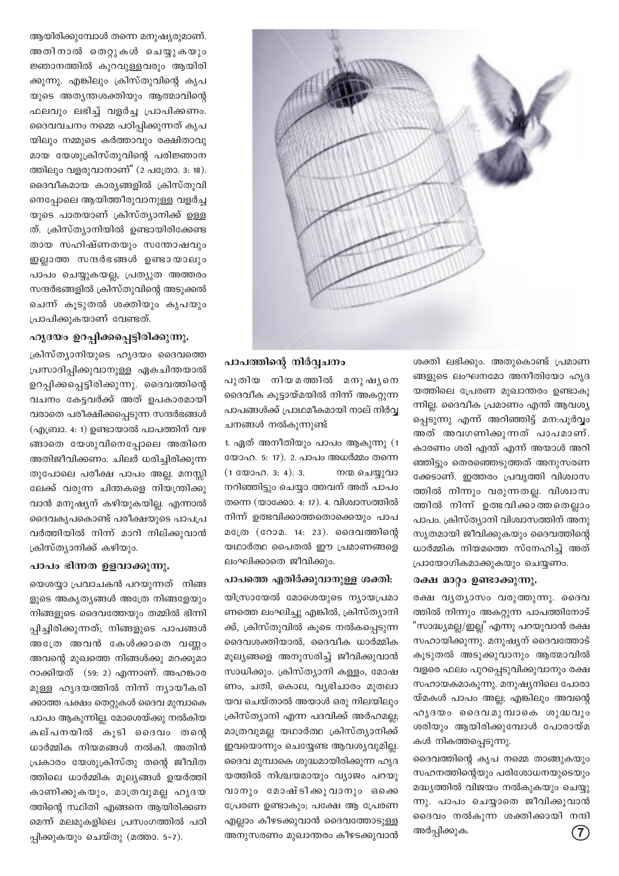ആയിരിക്കുമ്പോൾ തന്നെ മനുഷ്യരുമാണ്. അതിനാൽ തെറ്റുകൾ ചെയ്യുകയും ജ്ഞാനത്തിൽ കുറവുള്ളവരും ആയിരി ക്കുന്നു. എങ്കിലും ക്രിസ്തുവിന്റെ കൃപ യുടെ അത്യന്തശക്തിയും ആത്മാവിന്റെ ഫലവും ലഭിച്ച് വളർച്ച പ്രാപിക്കണം. ദൈവവചനം നമ്മെ പഠിപ്പിക്കുന്നത് കൃപ യിലും നമ്മുടെ കർത്താവും രക്ഷിതാവു മായ യേശുക്രിസ്തുവിന്റെ പരിജ്ഞാന ത്തിലും വളരുവാനാണ്" (2 പത്രോ. 3: 18). ദൈവീകമായ കാര്യങ്ങളിൽ ക്രിസ്തുവി നെപ്പോലെ ആയിത്തീരുവാനുള്ള വളർച്ച യുടെ പാതയാണ് ക്രിസ്ത്യാനിക്ക് ഉള്ള ത്. ക്രിസ്ത്യാനിയിൽ ഉണ്ടായിരിക്കേണ്ട തായ സഹിഷ്ണതയും സന്തോഷവും ഇല്ലാത്ത സന്ദർഭങ്ങൾ ഉണ്ടായാലും പാപം ചെയ്യുകയല്ല, പ്രത്യുത അത്തരം സന്ദർഭങ്ങളിൽ ക്രിസ്തുവിന്റെ അടുക്കൽ ചെന്ന് കുടുതൽ ശക്തിയും കൃപയും പ്രാപിക്കുകയാണ് വേണ്ടത്.

#### ഹൃദയം ഉറപ്പിക്കപ്പെട്ടിരിക്കുന്നു.

ക്രിസ്ത്യാനിയുടെ ഹൃദയം ദൈവത്തെ പ്രസാദിപ്പിക്കുവാനുള്ള ഏകചിന്തയാൽ ഉറപ്പിക്കപ്പെട്ടിരിക്കുന്നു. ദൈവത്തിന്റെ വചനം കേട്ടവർക്ക് അത് ഉപകാരമായി വരാതെ പരീക്ഷിക്കപ്പെടുന്ന സന്ദർഭങ്ങൾ (എബ്രാ. 4: 1) ഉണ്ടായാൽ പാപത്തിന് വഴ ങ്ങാതെ യേശുവിനെപ്പോലെ അതിനെ അതിജീവിക്കണം. ചിലർ ധരിച്ചിരിക്കുന്ന തുപോലെ പരീക്ഷ പാപം അല്ല. മനസ്സി ലേക്ക് വരുന്ന ചിന്തകളെ നിയന്ത്രിക്കു വാൻ മനുഷ്യന് കഴിയുകയില്ല. എന്നാൽ ദൈവകൃപകൊണ്ട് പരീക്ഷയുടെ പാപപ്ര വർത്തിയിൽ നിന്ന് മാറി നില്ക്കുവാൻ ക്രിസ്ത്യാനിക്ക് കഴിയും.

#### പാപം ഭിന്നത ഉളവാക്കുന്നു.

യെശയാ പ്രവാചകൻ പറയുന്നത് നിങ്ങ ളുടെ അകൃത്യങ്ങൾ അത്രേ നിങ്ങളേയും നിങ്ങളുടെ ദൈവത്തേയും തമ്മിൽ ഭിന്നി പ്പിച്ചിരിക്കുന്നത്; നിങ്ങളുടെ പാപങ്ങൾ അത്രേ അവൻ കേൾക്കാതെ വണ്ണം അവന്റെ മുഖത്തെ നിങ്ങൾക്കു മറക്കുമാ റാക്കിയത് (59: 2) എന്നാണ്. അഹങ്കാര മുള്ള ഹൃദയത്തിൽ നിന്ന് ന്യായീകരി ക്കാത്ത പക്ഷം തെറ്റുകൾ ദൈവ മുമ്പാകെ പാപം ആകുന്നില്ല. മോശെയ്ക്കു നൽകിയ കല്പനയിൽ കുടി ദൈവം തന്റെ ധാർമ്മിക നിയമങ്ങൾ നൽകി. അതിൻ പ്രകാരം യേശുക്രിസ്തു തന്റെ ജീവിത ത്തിലെ ധാർമ്മിക മൂല്യങ്ങൾ ഉയർത്തി കാണിക്കുകയും, മാത്രവുമല്ല ഹൃദയ ത്തിന്റെ സ്ഥിതി എങ്ങനെ ആയിരിക്കണ മെന്ന് മലമുകളിലെ പ്രസംഗത്തിൽ പഠി പ്പിക്കുകയും ചെയ്തു (മത്താ. 5–7).



#### പാപത്തിന്റെ നിർവ്വചനം

പുതിയ നിയമത്തിൽ മനുഷൃനെ ദൈവീക കൂട്ടായ്മയിൽ നിന്ന് അകറ്റുന്ന പാപങ്ങൾക്ക് പ്രാഥമീകമായി നാല് നിർവ്വ ചനങ്ങൾ നൽകുന്നുണ്ട്

1. ഏത് അനീതിയും പാപം ആകുന്നു (1 യോഹ. 5: 17). 2. പാപം അധർമ്മം തന്നെ  $(1 \oplus 000 \oplus 0.3; 4)$ . 3. നന്മ ചെയ്യുവാ നറിഞ്ഞിട്ടും ചെയ്യാ ത്തവന് അത് പാപം തന്നെ (യാക്കോ. 4: 17). 4. വിശ്വാസത്തിൽ നിന്ന് ഉത്ഭവിക്കാത്തതൊക്കെയും പാപ മത്രേ (റോമ. 14: 23). ദൈവത്തിന്റെ യഥാർത്ഥ പൈതൽ ഈ പ്രമാണങ്ങളെ ലംഘിക്കാതെ ജീവിക്കും.

#### പാപത്തെ എതിർക്കുവാനുള്ള ശക്തി:

യിസ്രായേൽ മോശെയുടെ ന്യായപ്രമാ ണത്തെ ലംഘിച്ചു എങ്കിൽ, ക്രിസ്ത്യാനി ക്ക്, ക്രിസ്തുവിൽ കൂടെ നൽകപ്പെടുന്ന ദൈവശക്തിയാൽ, ദൈവീക ധാർമ്മിക മുല്യങ്ങളെ അനുസരിച്ച് ജീവിക്കുവാൻ സാധിക്കും. ക്രിസ്ത്യാനി കള്ളം, മോഷ ണം, ചതി, കൊല, വ്യഭിചാരം മുതലാ യവ ചെയ്താൽ അയാൾ ഒരു നിലയിലും ക്രിസ്ത്യാനി എന്ന പദവിക്ക് അർഹമല്ല; മാത്രവുമല്ല യഥാർത്ഥ ക്രിസ്ത്യാനിക്ക് ഇവയൊന്നും ചെയ്യേണ്ട ആവശ്യവുമില്ല. ദൈവ മുമ്പാകെ ശുദ്ധമായിരിക്കുന്ന ഹൃദ യത്തിൽ നിശ്ചയമായും വ്യാജം പറയു വാനും മോഷ്ടിക്കുവാനും ഒക്കെ പ്രേരണ ഉണ്ടാകും; പക്ഷേ ആ പ്രേരണ എല്ലാം കീഴടക്കുവാൻ ദൈവത്തോടുള്ള അനുസരണം മുഖാന്തരം കീഴടക്കുവാൻ

ശക്തി ലഭിക്കും. അതുകൊണ്ട് പ്രമാണ ങ്ങളുടെ ലംഘനമോ അനീതിയോ ഹൃദ യത്തിലെ പ്രേരണ മുഖാന്തരം ഉണ്ടാകു ന്നില്ല. ദൈവീക പ്രമാണം എന്ത് ആവശ്യ പ്പെടുന്നു എന്ന് അറിഞ്ഞിട്ട് മന:പൂർവ്വം അത് അവഗണിക്കുന്നത് പാപമാണ്. കാരണം ശരി എന്ത് എന്ന് അയാൾ അറി ഞ്ഞിട്ടും തെരഞ്ഞെടുത്തത് അനുസരണ ക്കേടാണ്. ഇത്തരം പ്രവൃത്തി വിശ്വാസ ത്തിൽ നിന്നും വരുന്നതല്ല. വിശ്വാസ ത്തിൽ നിന്ന് ഉത്ഭവിക്കാത്തതെല്ലാം പാപം. ക്രിസ്ത്യാനി വിശ്വാസത്തിന് അനു സൃതമായി ജീവിക്കുകയും ദൈവത്തിന്റെ ധാർമ്മിക നിയമത്തെ സ്നേഹിച്ച് അത് പ്രായോഗികമാക്കുകയും ചെയ്യണം.

#### രക്ഷ മാറ്റം ഉണ്ടാക്കുന്നു.

രക്ഷ വൃത്യാസം വരുത്തുന്നു. ദൈവ ത്തിൽ നിന്നും അകറ്റുന്ന പാപത്തിനോട് "സാദ്ധ്യമല്ല/ഇല്ല" എന്നു പറയുവാൻ രക്ഷ സഹായിക്കുന്നു. മനുഷ്യന് ദൈവത്തോട് കൂടുതൽ അടുക്കുവാനും ആത്മാവിൽ വളരെ ഫലം പുറപ്പെടുവിക്കുവാനും രക്ഷ സഹായകമാകുന്നു. മനുഷ്യനിലെ പോരാ യ്മകൾ പാപം അല്ല; എങ്കിലും അവന്റെ ഹൂദയം ദൈവമൂമ്പാകെ ശൂദ്ധവും ശരിയും ആയിരിക്കുമ്പോൾ പോരായ്മ കൾ നികത്തപ്പെടുന്നു.

ദൈവത്തിന്റെ കൃപ നമ്മെ താങ്ങുകയും സഹനത്തിന്റെയും പരിശോധനയുടെയും മദ്ധ്യത്തിൽ വിജയം നൽകുകയും ചെയ്യു ന്നു. പാപം ചെയ്യാതെ ജീവിക്കുവാൻ ദൈവം നൽകുന്ന ശക്തിക്കായി നന്ദി അർപ്പിക്കുക.  $(7)$